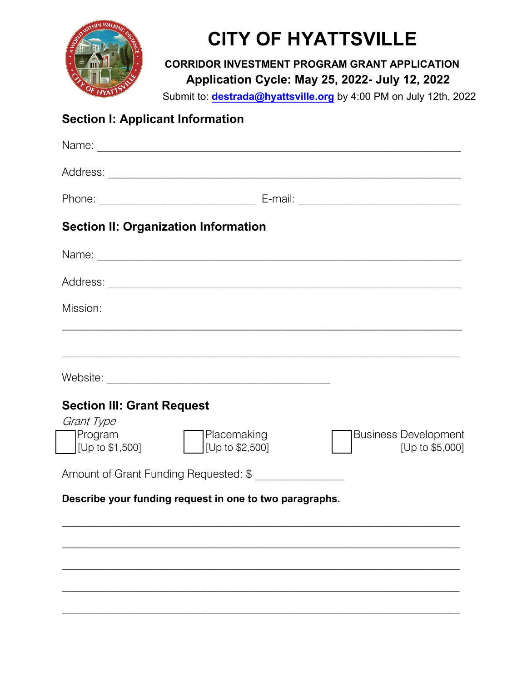

## **CITY OF HYATTSVILLE**

**CORRIDOR INVESTMENT PROGRAM GRANT APPLICATION** April 15 – May 22, 2019 **A**Application Cycle: June 29, 2020 - August 27, 2020 **pplication Cycle: May 25, 2022- July 12, 2022**

 $\frac{1}{2}$ Submit to: **destrada@hyattsville.org** by 4:00 PM on July 12th, 2022

## **Section I: Applicant Information**

|                                              | <b>Section II: Organization Information</b>             |                                                |
|----------------------------------------------|---------------------------------------------------------|------------------------------------------------|
|                                              |                                                         |                                                |
|                                              |                                                         |                                                |
| Mission:                                     |                                                         |                                                |
|                                              |                                                         |                                                |
|                                              |                                                         |                                                |
| <b>Section III: Grant Request</b>            |                                                         |                                                |
| Grant Type<br>Program<br>$ $ [Up to \$1,500] | Placemaking<br>[Up to \$2,500]                          | <b>Business Development</b><br>[Up to \$5,000] |
|                                              | Amount of Grant Funding Requested: \$ _________________ |                                                |
|                                              | Describe your funding request in one to two paragraphs. |                                                |
|                                              |                                                         |                                                |
|                                              |                                                         |                                                |
|                                              |                                                         |                                                |
|                                              |                                                         |                                                |